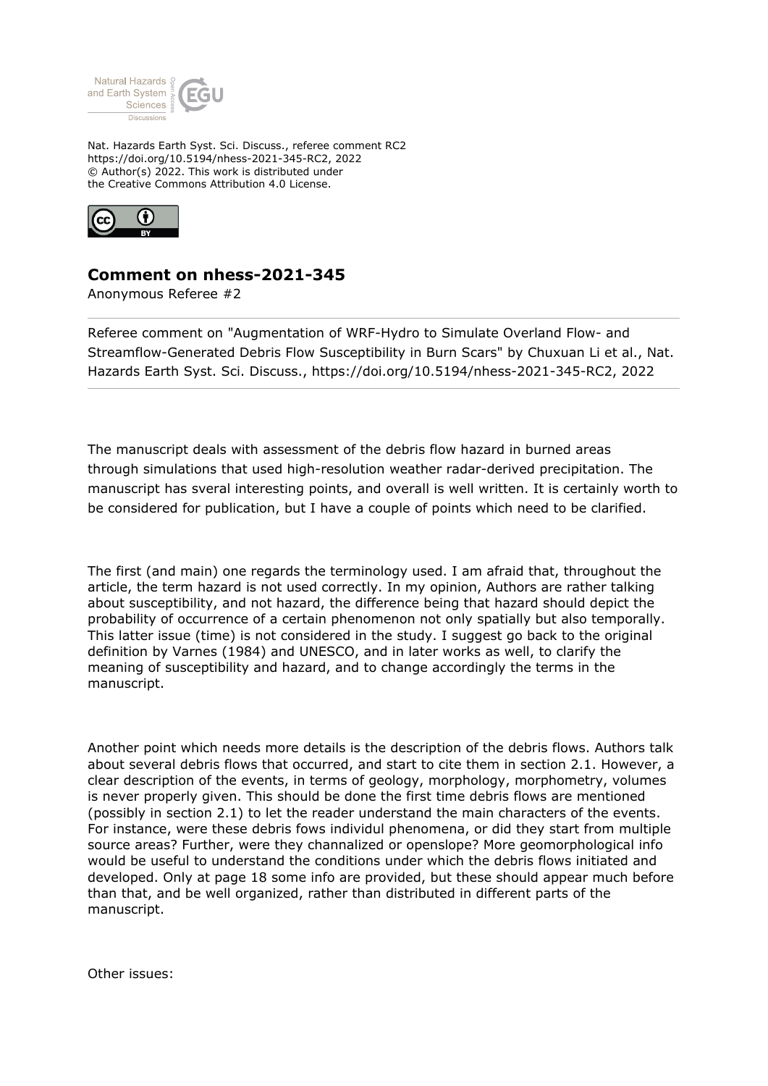

Nat. Hazards Earth Syst. Sci. Discuss., referee comment RC2 https://doi.org/10.5194/nhess-2021-345-RC2, 2022 © Author(s) 2022. This work is distributed under the Creative Commons Attribution 4.0 License.



## **Comment on nhess-2021-345**

Anonymous Referee #2

Referee comment on "Augmentation of WRF-Hydro to Simulate Overland Flow- and Streamflow-Generated Debris Flow Susceptibility in Burn Scars" by Chuxuan Li et al., Nat. Hazards Earth Syst. Sci. Discuss., https://doi.org/10.5194/nhess-2021-345-RC2, 2022

The manuscript deals with assessment of the debris flow hazard in burned areas through simulations that used high-resolution weather radar-derived precipitation. The manuscript has sveral interesting points, and overall is well written. It is certainly worth to be considered for publication, but I have a couple of points which need to be clarified.

The first (and main) one regards the terminology used. I am afraid that, throughout the article, the term hazard is not used correctly. In my opinion, Authors are rather talking about susceptibility, and not hazard, the difference being that hazard should depict the probability of occurrence of a certain phenomenon not only spatially but also temporally. This latter issue (time) is not considered in the study. I suggest go back to the original definition by Varnes (1984) and UNESCO, and in later works as well, to clarify the meaning of susceptibility and hazard, and to change accordingly the terms in the manuscript.

Another point which needs more details is the description of the debris flows. Authors talk about several debris flows that occurred, and start to cite them in section 2.1. However, a clear description of the events, in terms of geology, morphology, morphometry, volumes is never properly given. This should be done the first time debris flows are mentioned (possibly in section 2.1) to let the reader understand the main characters of the events. For instance, were these debris fows individul phenomena, or did they start from multiple source areas? Further, were they channalized or openslope? More geomorphological info would be useful to understand the conditions under which the debris flows initiated and developed. Only at page 18 some info are provided, but these should appear much before than that, and be well organized, rather than distributed in different parts of the manuscript.

Other issues: